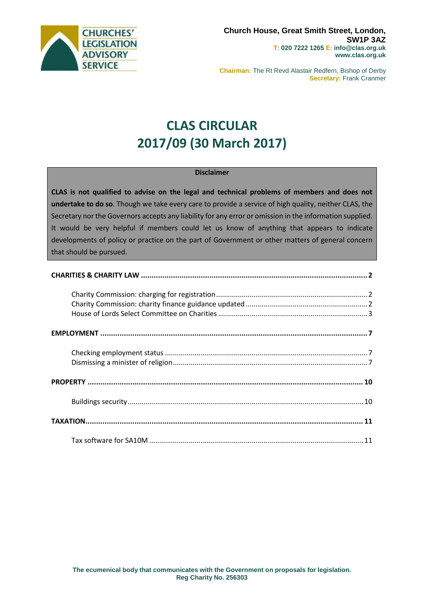

**Chairman:** The Rt Revd Alastair Redfern, Bishop of Derby **Secretary: Frank Cranmer** 

# **CLAS CIRCULAR 2017/09 (30 March 2017)**

#### **Disclaimer**

**CLAS is not qualified to advise on the legal and technical problems of members and does not undertake to do so**. Though we take every care to provide a service of high quality, neither CLAS, the Secretary nor the Governors accepts any liability for any error or omission in the information supplied. It would be very helpful if members could let us know of anything that appears to indicate developments of policy or practice on the part of Government or other matters of general concern that should be pursued.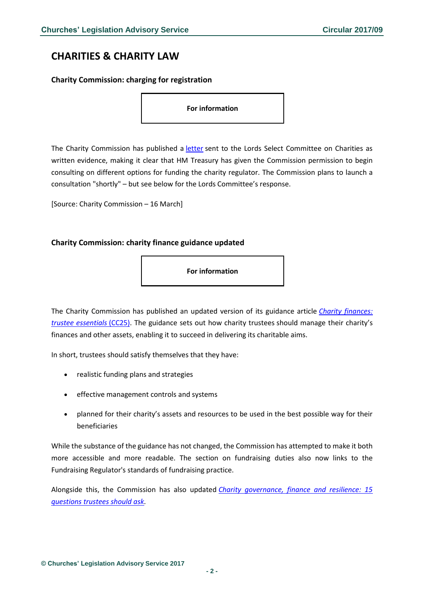# <span id="page-1-0"></span>**CHARITIES & CHARITY LAW**

<span id="page-1-1"></span>**Charity Commission: charging for registration**

**For information**

The Charity Commission has published a [letter](http://data.parliament.uk/writtenevidence/committeeevidence.svc/evidencedocument/select-committee-on-charities/charities/written/48812.html) sent to the Lords Select Committee on Charities as written evidence, making it clear that HM Treasury has given the Commission permission to begin consulting on different options for funding the charity regulator. The Commission plans to launch a consultation "shortly" – but see below for the Lords Committee's response.

[Source: Charity Commission – 16 March]

## <span id="page-1-2"></span>**Charity Commission: charity finance guidance updated**

**For information**

The Charity Commission has published an updated version of its guidance article *[Charity finances:](http://www.gov.uk/government/publications/managing-charity-assets-and-resources-cc25/managing-charity-assets-and-resources#contents)  [trustee essentials](http://www.gov.uk/government/publications/managing-charity-assets-and-resources-cc25/managing-charity-assets-and-resources#contents)* (CC25). The guidance sets out how charity trustees should manage their charity's finances and other assets, enabling it to succeed in delivering its charitable aims.

In short, trustees should satisfy themselves that they have:

- realistic funding plans and strategies
- effective management controls and systems
- planned for their charity's assets and resources to be used in the best possible way for their beneficiaries

While the substance of the guidance has not changed, the Commission has attempted to make it both more accessible and more readable. The section on fundraising duties also now links to the Fundraising Regulator's standards of fundraising practice.

Alongside this, the Commission has also updated *[Charity governance, finance and resilience: 15](https://www.gov.uk/government/publications/charity-trustee-meetings-15-questions-you-should-ask/charity-trustee-meetings-15-questions-you-should-ask)  [questions trustees should ask.](https://www.gov.uk/government/publications/charity-trustee-meetings-15-questions-you-should-ask/charity-trustee-meetings-15-questions-you-should-ask)*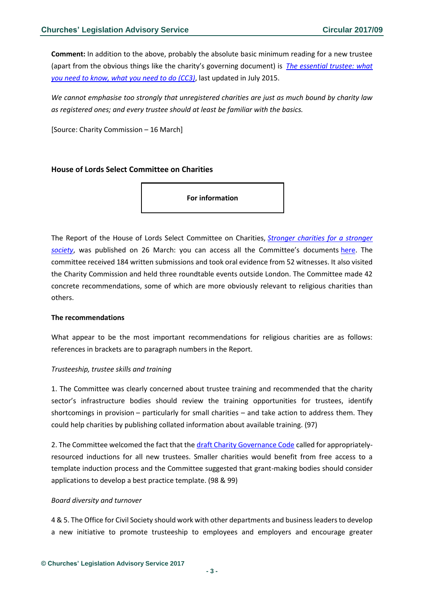**Comment:** In addition to the above, probably the absolute basic minimum reading for a new trustee (apart from the obvious things like the charity's governing document) is *[The essential trustee: what](https://www.gov.uk/government/uploads/system/uploads/attachment_data/file/570398/CC3.pdf)  [you need to know, what you need to do \(CC3\)](https://www.gov.uk/government/uploads/system/uploads/attachment_data/file/570398/CC3.pdf)*, last updated in July 2015.

*We cannot emphasise too strongly that unregistered charities are just as much bound by charity law as registered ones; and every trustee should at least be familiar with the basics.*

[Source: Charity Commission – 16 March]

## <span id="page-2-0"></span>**House of Lords Select Committee on Charities**

**For information**

The Report of the House of Lords Select Committee on Charities, *[Stronger charities for a stronger](https://www.publications.parliament.uk/pa/ld201617/ldselect/ldchar/133/13302.htm)  [society](https://www.publications.parliament.uk/pa/ld201617/ldselect/ldchar/133/13302.htm)*, was published on 26 March: you can access all the Committee's documents [here.](https://www.parliament.uk/business/committees/committees-a-z/lords-select/charities-committee/publications/?type=8#pnlPublicationFilter) The committee received 184 written submissions and took oral evidence from 52 witnesses. It also visited the Charity Commission and held three roundtable events outside London. The Committee made 42 concrete recommendations, some of which are more obviously relevant to religious charities than others.

#### **The recommendations**

What appear to be the most important recommendations for religious charities are as follows: references in brackets are to paragraph numbers in the Report.

#### *Trusteeship, trustee skills and training*

1. The Committee was clearly concerned about trustee training and recommended that the charity sector's infrastructure bodies should review the training opportunities for trustees, identify shortcomings in provision – particularly for small charities – and take action to address them. They could help charities by publishing collated information about available training. (97)

2. The Committee welcomed the fact that the [draft Charity Governance Code](http://www.governancecode.org/wp-content/uploads/2017/02/NC940_good_governance_11.pdf) called for appropriatelyresourced inductions for all new trustees. Smaller charities would benefit from free access to a template induction process and the Committee suggested that grant-making bodies should consider applications to develop a best practice template. (98 & 99)

#### *Board diversity and turnover*

4 & 5. The Office for Civil Society should work with other departments and business leaders to develop a new initiative to promote trusteeship to employees and employers and encourage greater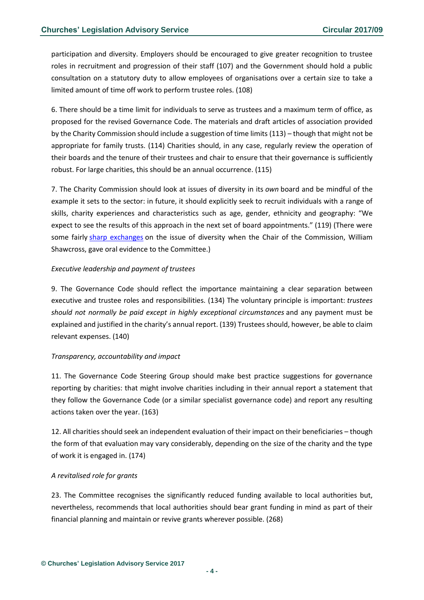participation and diversity. Employers should be encouraged to give greater recognition to trustee roles in recruitment and progression of their staff (107) and the Government should hold a public consultation on a statutory duty to allow employees of organisations over a certain size to take a limited amount of time off work to perform trustee roles. (108)

6. There should be a time limit for individuals to serve as trustees and a maximum term of office, as proposed for the revised Governance Code. The materials and draft articles of association provided by the Charity Commission should include a suggestion of time limits (113) – though that might not be appropriate for family trusts. (114) Charities should, in any case, regularly review the operation of their boards and the tenure of their trustees and chair to ensure that their governance is sufficiently robust. For large charities, this should be an annual occurrence. (115)

7. The Charity Commission should look at issues of diversity in its *own* board and be mindful of the example it sets to the sector: in future, it should explicitly seek to recruit individuals with a range of skills, charity experiences and characteristics such as age, gender, ethnicity and geography: "We expect to see the results of this approach in the next set of board appointments." (119) (There were some fairly [sharp exchanges](https://www.civilsociety.co.uk/news/governance-of-charity-commission-criticised-in-lords-committee.html) on the issue of diversity when the Chair of the Commission, William Shawcross, gave oral evidence to the Committee.)

#### *Executive leadership and payment of trustees*

9. The Governance Code should reflect the importance maintaining a clear separation between executive and trustee roles and responsibilities. (134) The voluntary principle is important: *trustees should not normally be paid except in highly exceptional circumstances* and any payment must be explained and justified in the charity's annual report. (139) Trustees should, however, be able to claim relevant expenses. (140)

# *Transparency, accountability and impact*

11. The Governance Code Steering Group should make best practice suggestions for governance reporting by charities: that might involve charities including in their annual report a statement that they follow the Governance Code (or a similar specialist governance code) and report any resulting actions taken over the year. (163)

12. All charities should seek an independent evaluation of their impact on their beneficiaries – though the form of that evaluation may vary considerably, depending on the size of the charity and the type of work it is engaged in. (174)

#### *A revitalised role for grants*

23. The Committee recognises the significantly reduced funding available to local authorities but, nevertheless, recommends that local authorities should bear grant funding in mind as part of their financial planning and maintain or revive grants wherever possible. (268)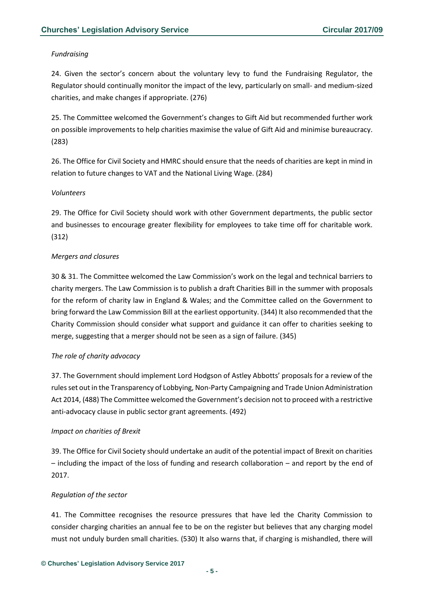## *Fundraising*

24. Given the sector's concern about the voluntary levy to fund the Fundraising Regulator, the Regulator should continually monitor the impact of the levy, particularly on small- and medium-sized charities, and make changes if appropriate. (276)

25. The Committee welcomed the Government's changes to Gift Aid but recommended further work on possible improvements to help charities maximise the value of Gift Aid and minimise bureaucracy. (283)

26. The Office for Civil Society and HMRC should ensure that the needs of charities are kept in mind in relation to future changes to VAT and the National Living Wage. (284)

#### *Volunteers*

29. The Office for Civil Society should work with other Government departments, the public sector and businesses to encourage greater flexibility for employees to take time off for charitable work. (312)

## *Mergers and closures*

30 & 31. The Committee welcomed the Law Commission's work on the legal and technical barriers to charity mergers. The Law Commission is to publish a draft Charities Bill in the summer with proposals for the reform of charity law in England & Wales; and the Committee called on the Government to bring forward the Law Commission Bill at the earliest opportunity. (344) It also recommended that the Charity Commission should consider what support and guidance it can offer to charities seeking to merge, suggesting that a merger should not be seen as a sign of failure. (345)

#### *The role of charity advocacy*

37. The Government should implement Lord Hodgson of Astley Abbotts' proposals for a review of the rules set out in the Transparency of Lobbying, Non-Party Campaigning and Trade Union Administration Act 2014, (488) The Committee welcomed the Government's decision not to proceed with a restrictive anti-advocacy clause in public sector grant agreements. (492)

#### *Impact on charities of Brexit*

39. The Office for Civil Society should undertake an audit of the potential impact of Brexit on charities – including the impact of the loss of funding and research collaboration – and report by the end of 2017.

# *Regulation of the sector*

41. The Committee recognises the resource pressures that have led the Charity Commission to consider charging charities an annual fee to be on the register but believes that any charging model must not unduly burden small charities. (530) It also warns that, if charging is mishandled, there will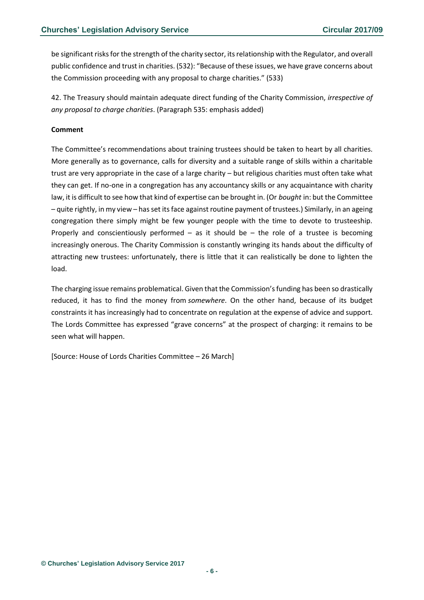be significant risks for the strength of the charity sector, its relationship with the Regulator, and overall public confidence and trust in charities. (532): "Because of these issues, we have grave concerns about the Commission proceeding with any proposal to charge charities." (533)

42. The Treasury should maintain adequate direct funding of the Charity Commission, *irrespective of any proposal to charge charities*. (Paragraph 535: emphasis added)

#### **Comment**

The Committee's recommendations about training trustees should be taken to heart by all charities. More generally as to governance, calls for diversity and a suitable range of skills within a charitable trust are very appropriate in the case of a large charity – but religious charities must often take what they can get. If no-one in a congregation has any accountancy skills or any acquaintance with charity law, it is difficult to see how that kind of expertise can be brought in. (Or *bought* in: but the Committee – quite rightly, in my view – has set its face against routine payment of trustees.) Similarly, in an ageing congregation there simply might be few younger people with the time to devote to trusteeship. Properly and conscientiously performed – as it should be – the role of a trustee is becoming increasingly onerous. The Charity Commission is constantly wringing its hands about the difficulty of attracting new trustees: unfortunately, there is little that it can realistically be done to lighten the load.

The charging issue remains problematical. Given that the Commission's funding has been so drastically reduced, it has to find the money from *somewhere*. On the other hand, because of its budget constraints it has increasingly had to concentrate on regulation at the expense of advice and support. The Lords Committee has expressed "grave concerns" at the prospect of charging: it remains to be seen what will happen.

[Source: House of Lords Charities Committee – 26 March]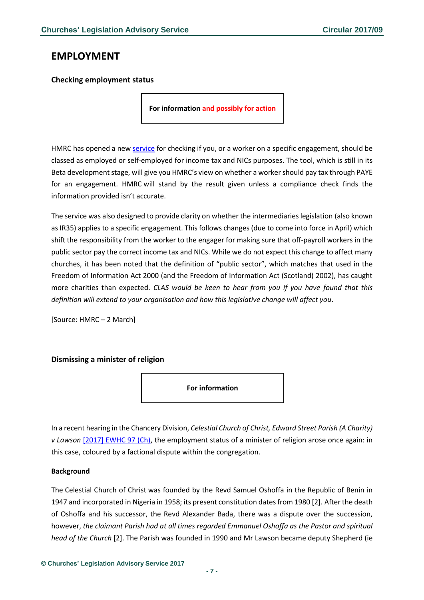# <span id="page-6-0"></span>**EMPLOYMENT**

# <span id="page-6-1"></span>**Checking employment status**

**For information and possibly for action**

HMRC has opened a new [service](https://www.gov.uk/guidance/check-employment-status-for-tax) for checking if you, or a worker on a specific engagement, should be classed as employed or self-employed for income tax and NICs purposes. The tool, which is still in its Beta development stage, will give you HMRC's view on whether a worker should pay tax through PAYE for an engagement. HMRC will stand by the result given unless a compliance check finds the information provided isn't accurate.

The service was also designed to provide clarity on whether the intermediaries legislation (also known as IR35) applies to a specific engagement. This follows changes (due to come into force in April) which shift the responsibility from the worker to the engager for making sure that off-payroll workers in the public sector pay the correct income tax and NICs. While we do not expect this change to affect many churches, it has been noted that the definition of "public sector", which matches that used in the Freedom of Information Act 2000 (and the Freedom of Information Act (Scotland) 2002), has caught more charities than expected. *CLAS would be keen to hear from you if you have found that this definition will extend to your organisation and how this legislative change will affect you*.

[Source: HMRC – 2 March]

# <span id="page-6-2"></span>**Dismissing a minister of religion**



In a recent hearing in the Chancery Division, *Celestial Church of Christ, Edward Street Parish (A Charity) v Lawson* [\[2017\] EWHC 97 \(Ch\),](http://www.bailii.org/ew/cases/EWHC/Ch/2017/97.html) the employment status of a minister of religion arose once again: in this case, coloured by a factional dispute within the congregation.

#### **Background**

The Celestial Church of Christ was founded by the Revd Samuel Oshoffa in the Republic of Benin in 1947 and incorporated in Nigeria in 1958; its present constitution dates from 1980 [2]. After the death of Oshoffa and his successor, the Revd Alexander Bada, there was a dispute over the succession, however, *the claimant Parish had at all times regarded Emmanuel Oshoffa as the Pastor and spiritual head of the Church* [2]. The Parish was founded in 1990 and Mr Lawson became deputy Shepherd (ie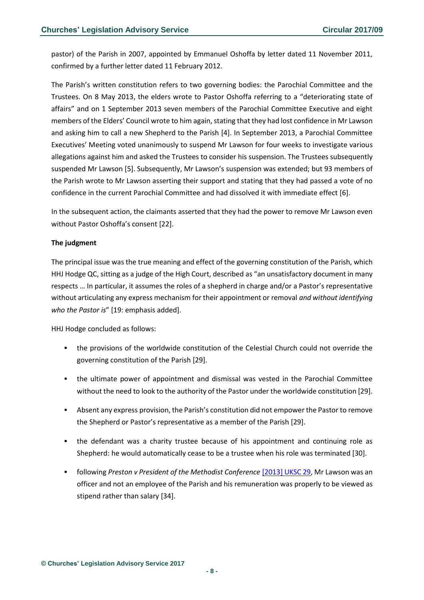pastor) of the Parish in 2007, appointed by Emmanuel Oshoffa by letter dated 11 November 2011, confirmed by a further letter dated 11 February 2012.

The Parish's written constitution refers to two governing bodies: the Parochial Committee and the Trustees. On 8 May 2013, the elders wrote to Pastor Oshoffa referring to a "deteriorating state of affairs" and on 1 September 2013 seven members of the Parochial Committee Executive and eight members of the Elders' Council wrote to him again, stating that they had lost confidence in Mr Lawson and asking him to call a new Shepherd to the Parish [4]. In September 2013, a Parochial Committee Executives' Meeting voted unanimously to suspend Mr Lawson for four weeks to investigate various allegations against him and asked the Trustees to consider his suspension. The Trustees subsequently suspended Mr Lawson [5]. Subsequently, Mr Lawson's suspension was extended; but 93 members of the Parish wrote to Mr Lawson asserting their support and stating that they had passed a vote of no confidence in the current Parochial Committee and had dissolved it with immediate effect [6].

In the subsequent action, the claimants asserted that they had the power to remove Mr Lawson even without Pastor Oshoffa's consent [22].

## **The judgment**

The principal issue was the true meaning and effect of the governing constitution of the Parish, which HHJ Hodge QC, sitting as a judge of the High Court, described as "an unsatisfactory document in many respects … In particular, it assumes the roles of a shepherd in charge and/or a Pastor's representative without articulating any express mechanism for their appointment or removal *and without identifying who the Pastor is*" [19: emphasis added].

HHJ Hodge concluded as follows:

- the provisions of the worldwide constitution of the Celestial Church could not override the governing constitution of the Parish [29].
- the ultimate power of appointment and dismissal was vested in the Parochial Committee without the need to look to the authority of the Pastor under the worldwide constitution [29].
- Absent any express provision, the Parish's constitution did not empower the Pastor to remove the Shepherd or Pastor's representative as a member of the Parish [29].
- the defendant was a charity trustee because of his appointment and continuing role as Shepherd: he would automatically cease to be a trustee when his role was terminated [30].
- following *Preston v President of the Methodist Conference* [\[2013\] UKSC 29,](http://www.bailii.org/uk/cases/UKSC/2013/29.html) Mr Lawson was an officer and not an employee of the Parish and his remuneration was properly to be viewed as stipend rather than salary [34].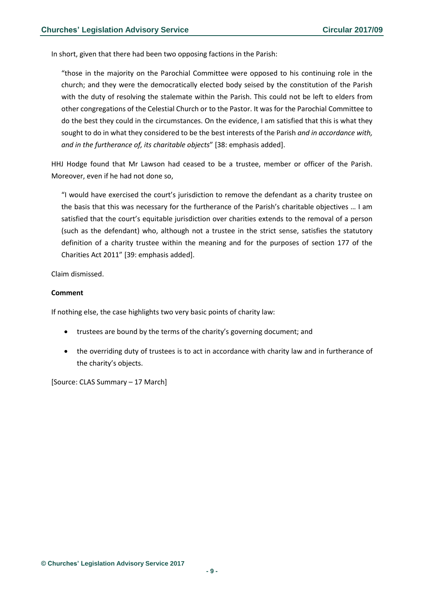In short, given that there had been two opposing factions in the Parish:

"those in the majority on the Parochial Committee were opposed to his continuing role in the church; and they were the democratically elected body seised by the constitution of the Parish with the duty of resolving the stalemate within the Parish. This could not be left to elders from other congregations of the Celestial Church or to the Pastor. It was for the Parochial Committee to do the best they could in the circumstances. On the evidence, I am satisfied that this is what they sought to do in what they considered to be the best interests of the Parish *and in accordance with, and in the furtherance of, its charitable objects*" [38: emphasis added].

HHJ Hodge found that Mr Lawson had ceased to be a trustee, member or officer of the Parish. Moreover, even if he had not done so,

"I would have exercised the court's jurisdiction to remove the defendant as a charity trustee on the basis that this was necessary for the furtherance of the Parish's charitable objectives … I am satisfied that the court's equitable jurisdiction over charities extends to the removal of a person (such as the defendant) who, although not a trustee in the strict sense, satisfies the statutory definition of a charity trustee within the meaning and for the purposes of section 177 of the Charities Act 2011" [39: emphasis added].

Claim dismissed.

#### **Comment**

If nothing else, the case highlights two very basic points of charity law:

- trustees are bound by the terms of the charity's governing document; and
- the overriding duty of trustees is to act in accordance with charity law and in furtherance of the charity's objects.

[Source: CLAS Summary – 17 March]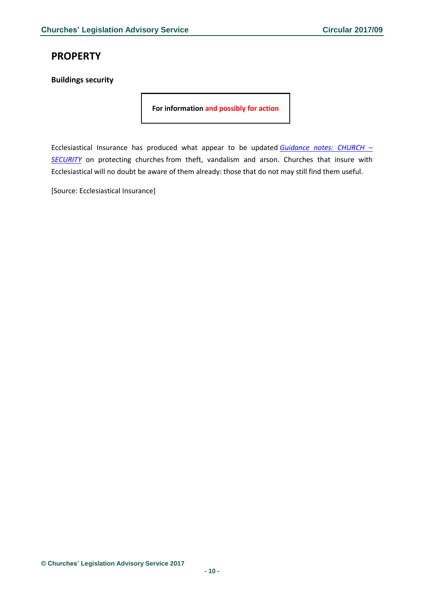# <span id="page-9-0"></span>**PROPERTY**

<span id="page-9-1"></span>**Buildings security**

**For information and possibly for action**

Ecclesiastical Insurance has produced what appear to be updated *[Guidance notes: CHURCH](http://www.ecclesiastical.com/churchmatters/images/pdf%20-%20church%20insurance%20guidance%20notes%20-%20security.pdf) –* **[SECURITY](http://www.ecclesiastical.com/churchmatters/images/pdf%20-%20church%20insurance%20guidance%20notes%20-%20security.pdf)** on protecting churches from theft, vandalism and arson. Churches that insure with Ecclesiastical will no doubt be aware of them already: those that do not may still find them useful.

[Source: Ecclesiastical Insurance]